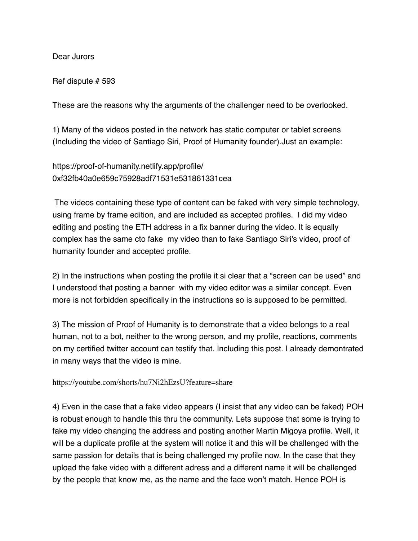## Dear Jurors

Ref dispute # 593

These are the reasons why the arguments of the challenger need to be overlooked.

1) Many of the videos posted in the network has static computer or tablet screens (Including the video of Santiago Siri, Proof of Humanity founder).Just an example:

https://proof-of-humanity.netlify.app/profile/ 0xf32fb40a0e659c75928adf71531e531861331cea

 The videos containing these type of content can be faked with very simple technology, using frame by frame edition, and are included as accepted profiles. I did my video editing and posting the ETH address in a fix banner during the video. It is equally complex has the same cto fake my video than to fake Santiago Siri's video, proof of humanity founder and accepted profile.

2) In the instructions when posting the profile it si clear that a "screen can be used" and I understood that posting a banner with my video editor was a similar concept. Even more is not forbidden specifically in the instructions so is supposed to be permitted.

3) The mission of Proof of Humanity is to demonstrate that a video belongs to a real human, not to a bot, neither to the wrong person, and my profile, reactions, comments on my certified twitter account can testify that. Including this post. I already demontrated in many ways that the video is mine.

https://youtube.com/shorts/hu7Ni2hEzsU?feature=share

4) Even in the case that a fake video appears (I insist that any video can be faked) POH is robust enough to handle this thru the community. Lets suppose that some is trying to fake my video changing the address and posting another Martin Migoya profile. Well, it will be a duplicate profile at the system will notice it and this will be challenged with the same passion for details that is being challenged my profile now. In the case that they upload the fake video with a different adress and a different name it will be challenged by the people that know me, as the name and the face won't match. Hence POH is